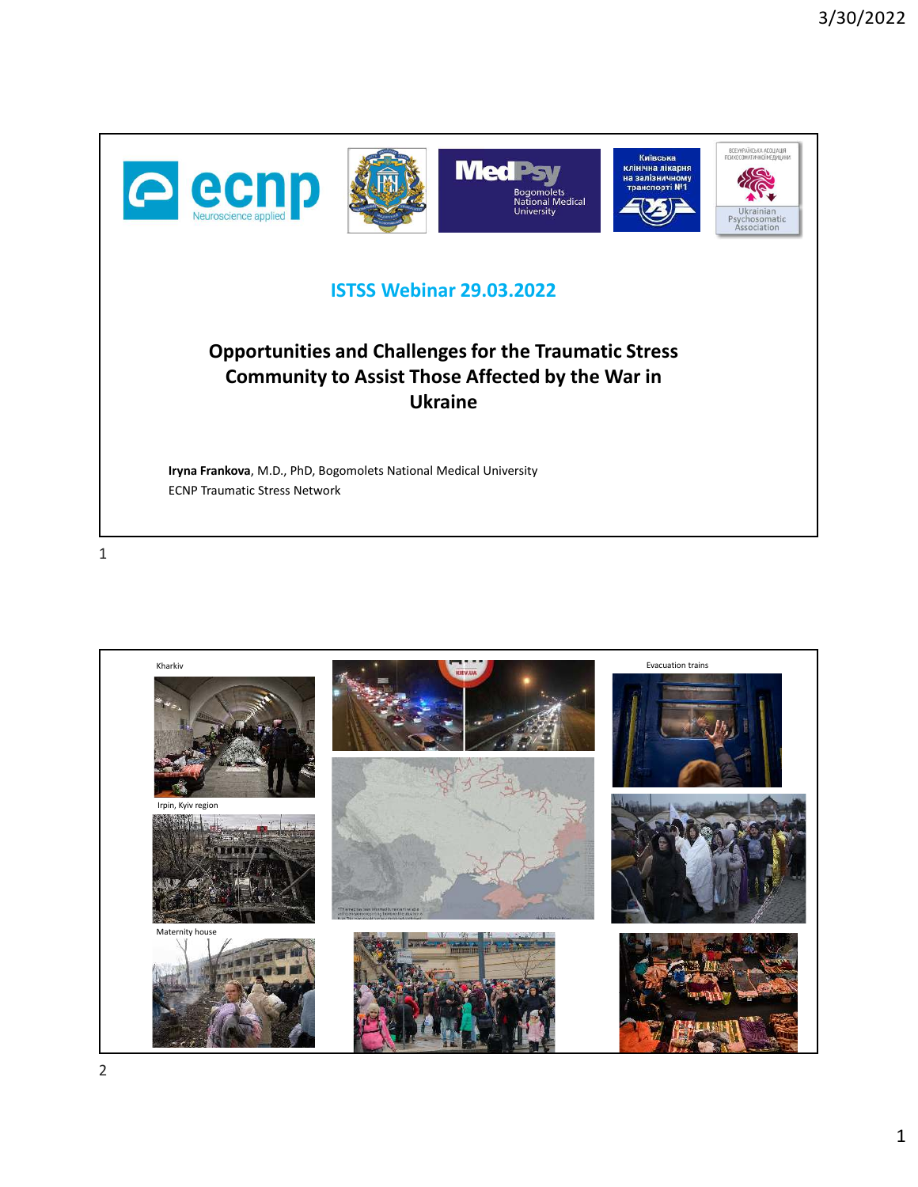

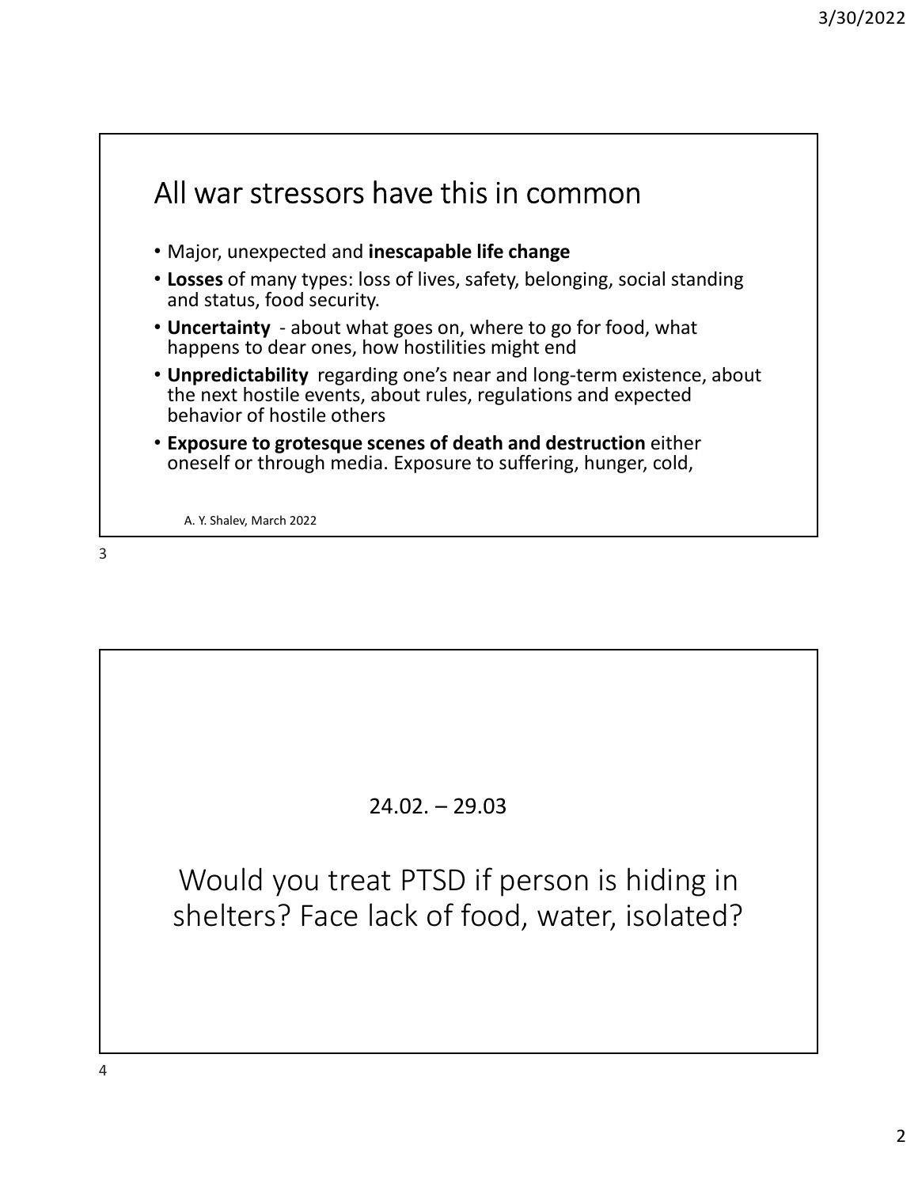

## 24.02. – 29.03

Would you treat PTSD if person is hiding in shelters? Face lack of food, water, isolated?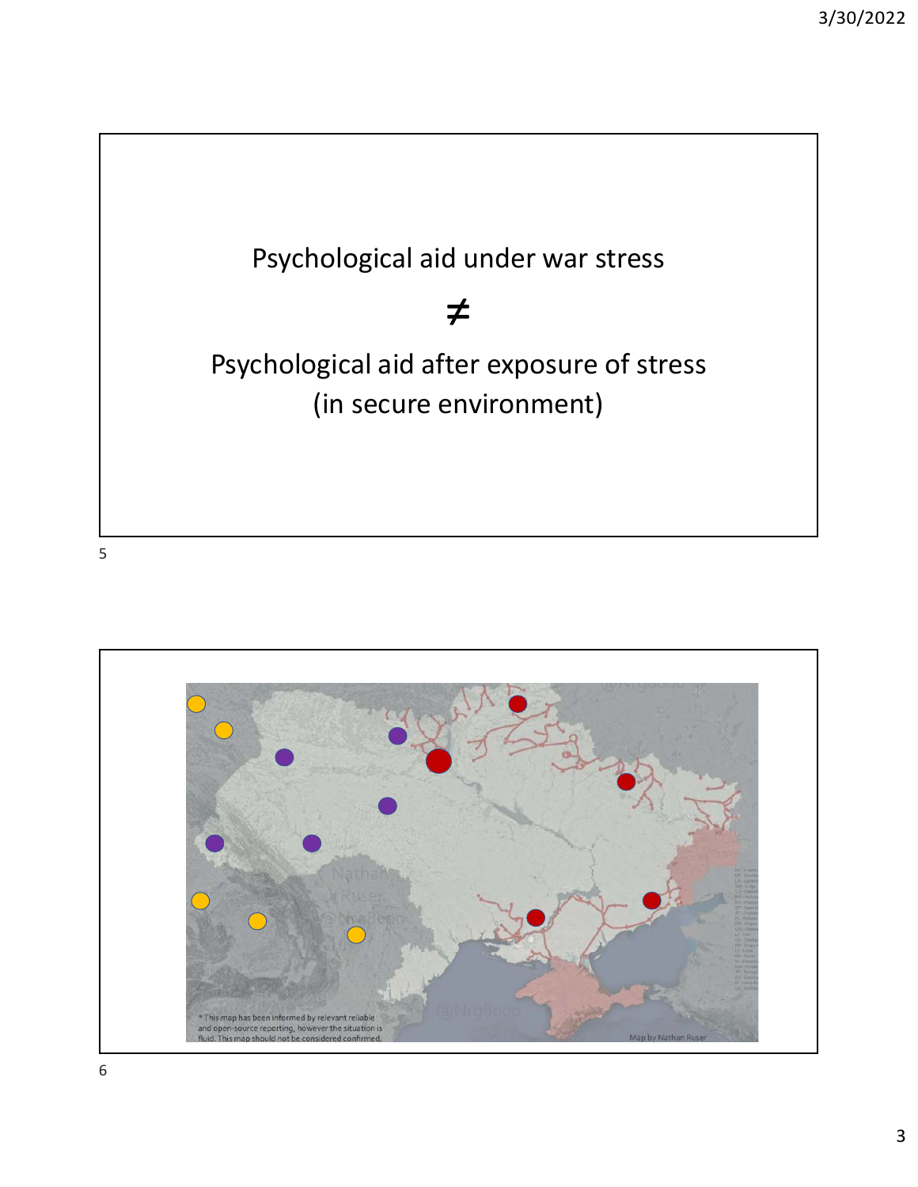



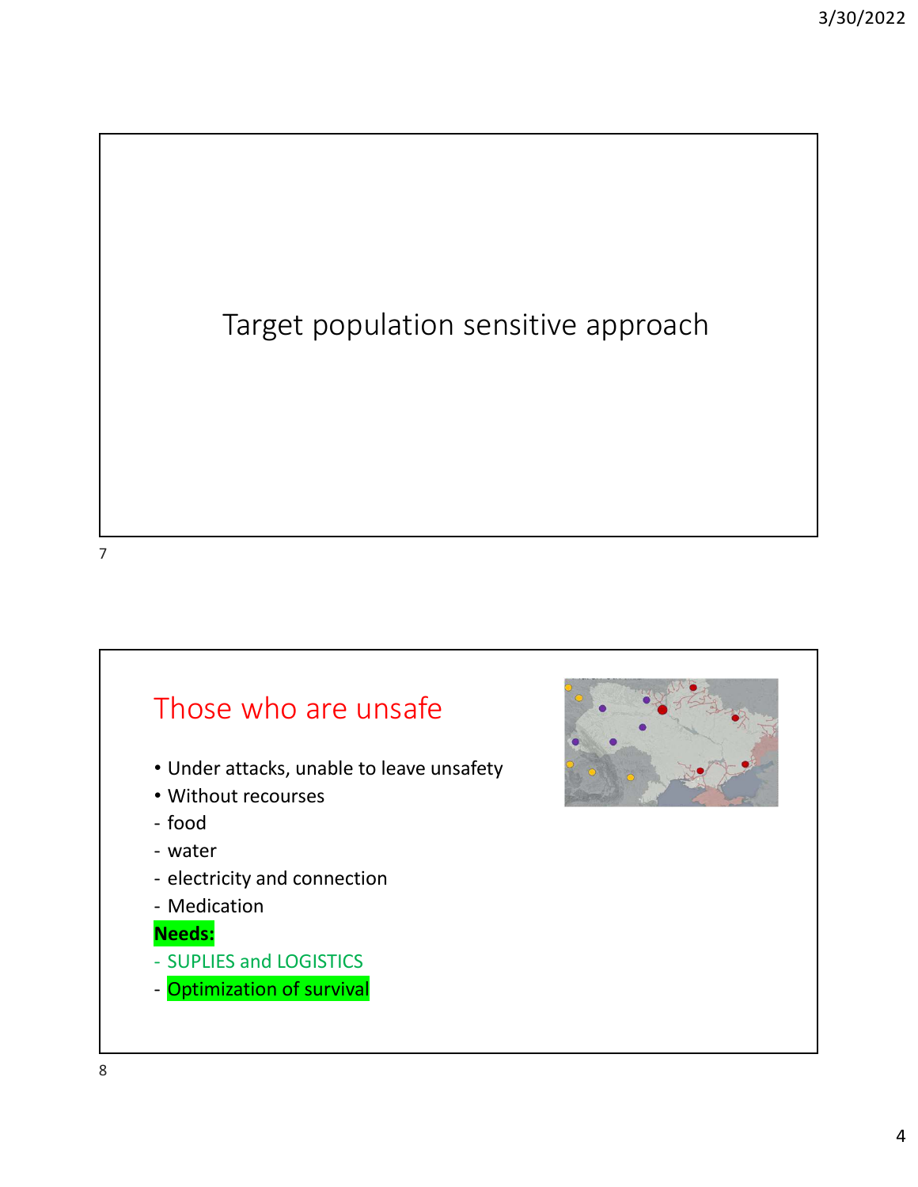

## Those who are unsafe

- Under attacks, unable to leave unsafety
- Without recourses
- food
- water
- electricity and connection
- Medication

## **Needs:**

- SUPLIES and LOGISTICS
- Optimization of survival

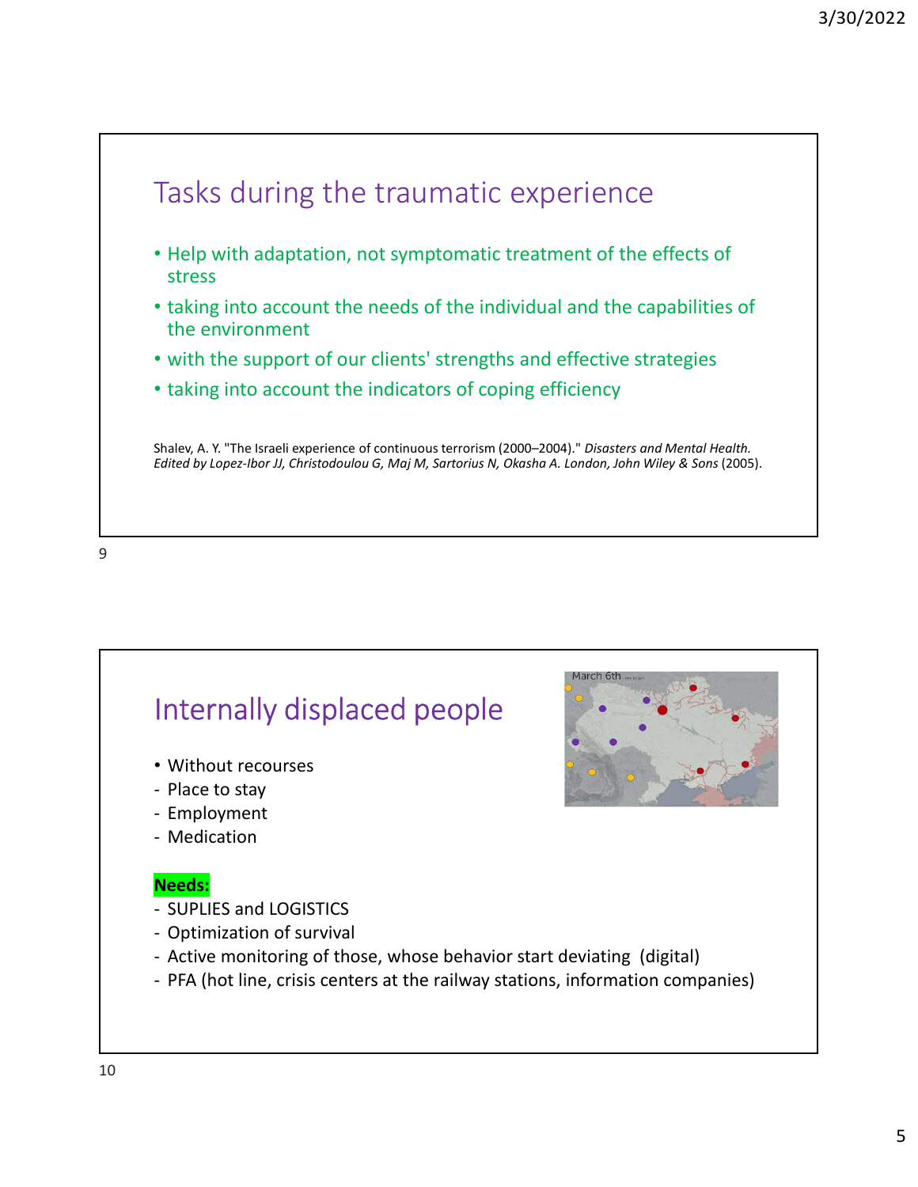



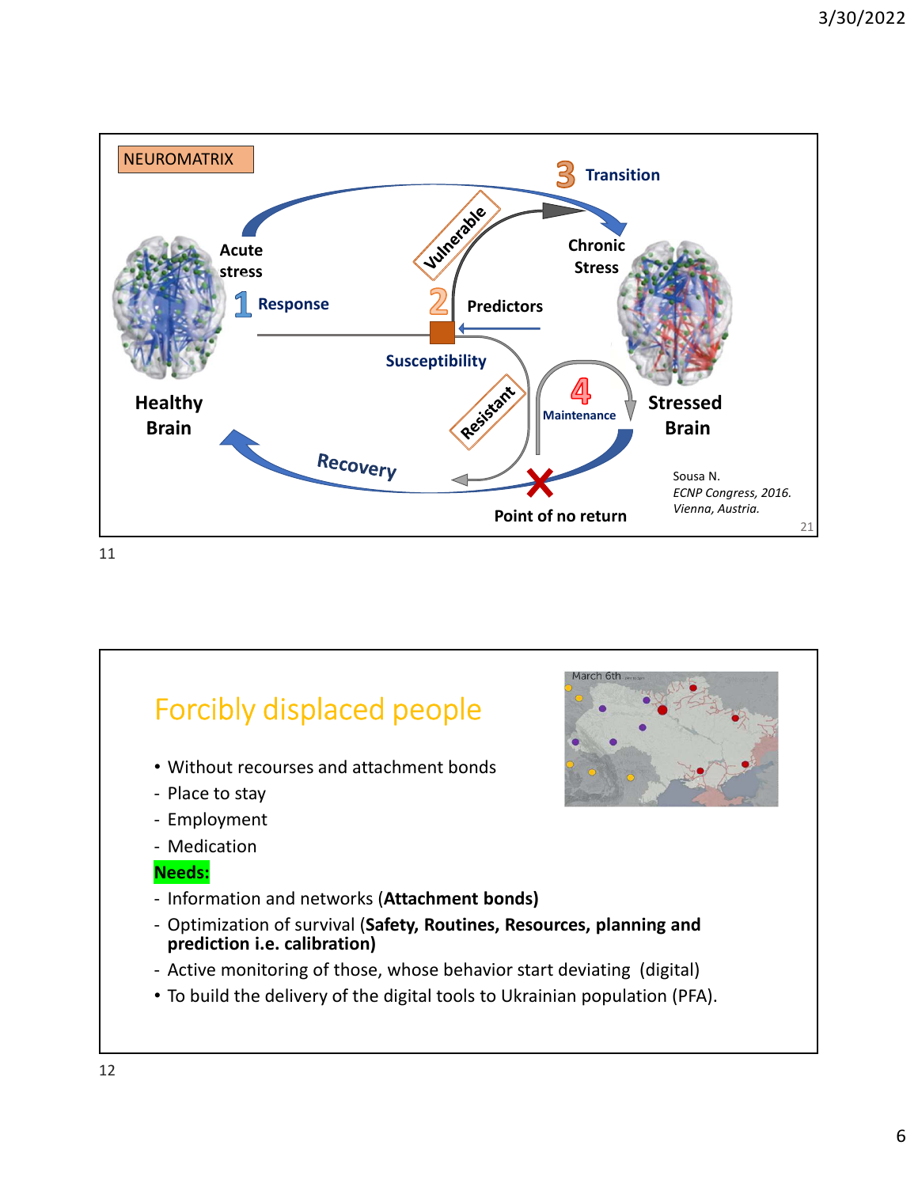

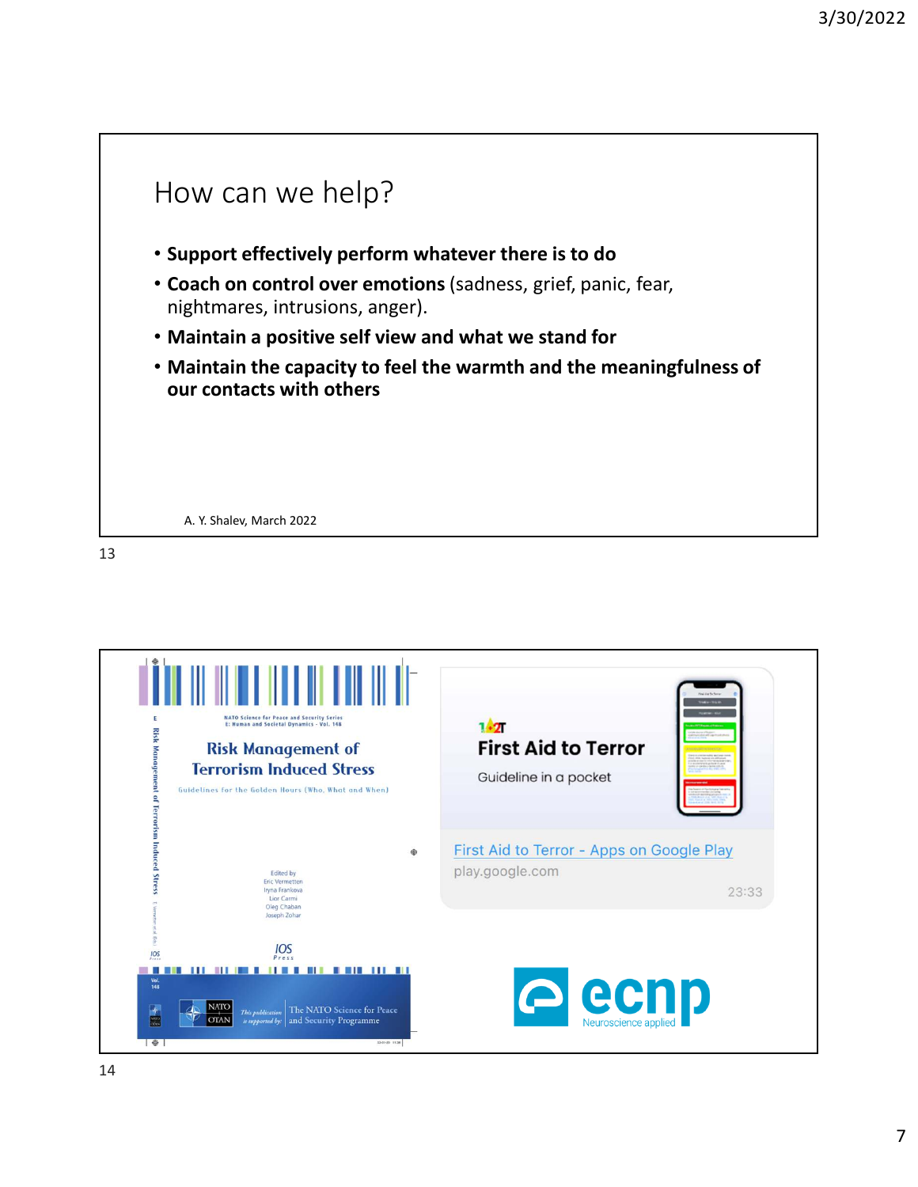

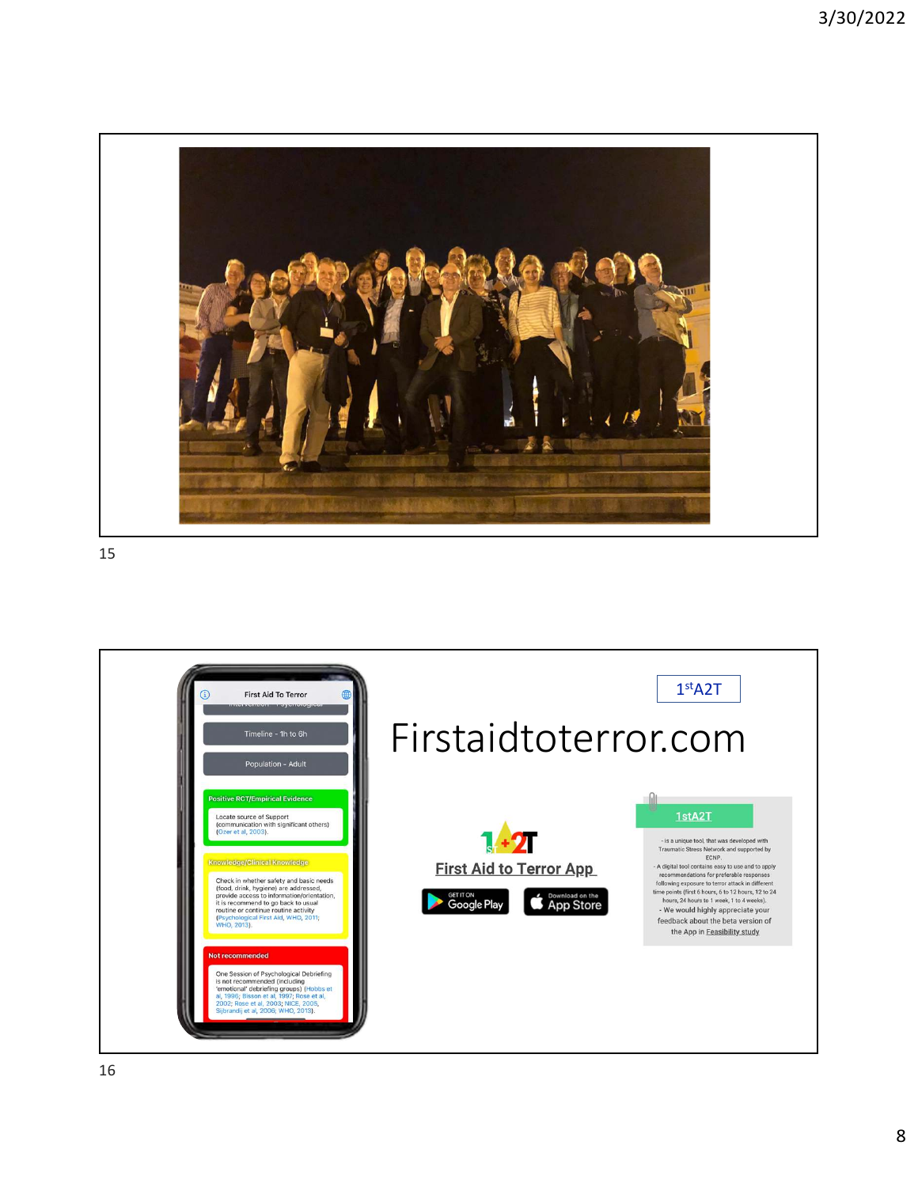

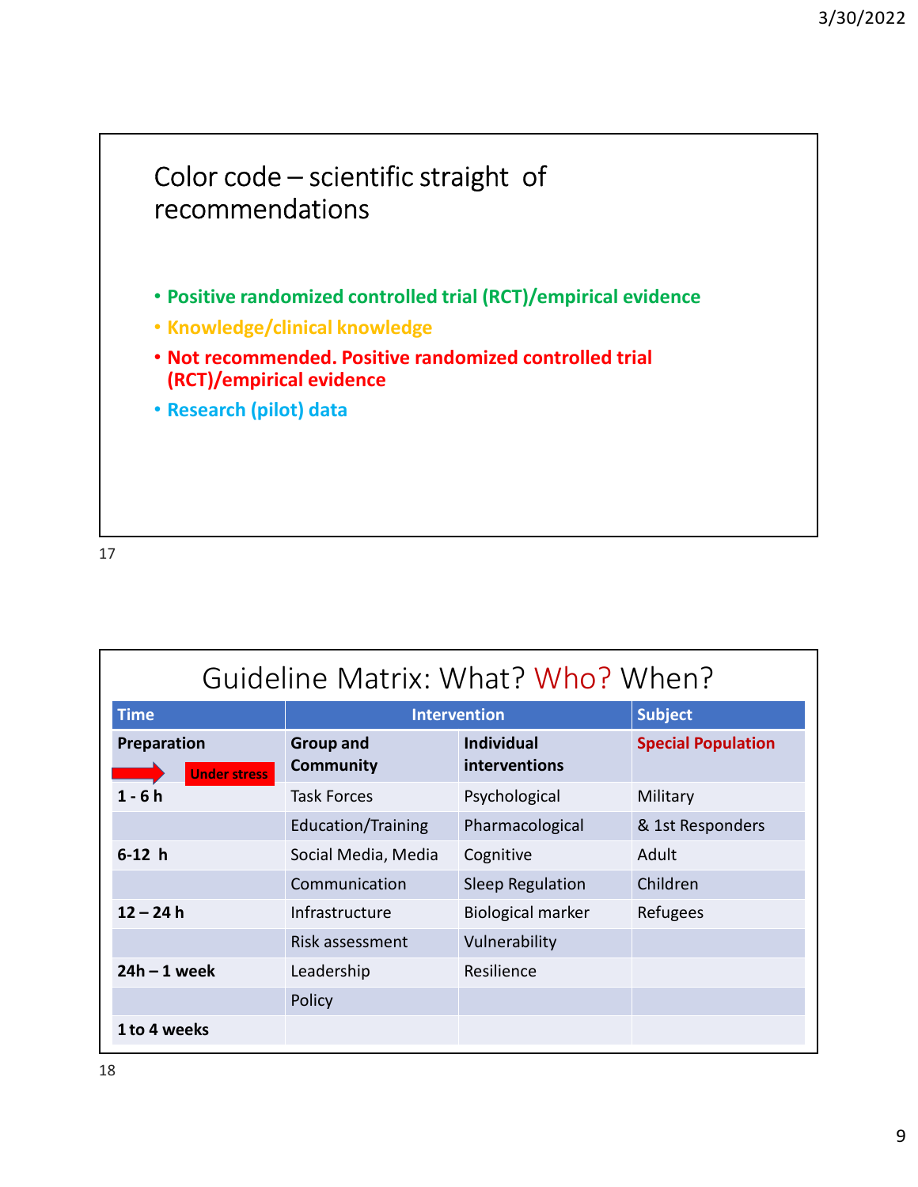

| Guideline Matrix: What? Who? When? |                                      |                                    |                           |
|------------------------------------|--------------------------------------|------------------------------------|---------------------------|
| <b>Time</b>                        | <b>Intervention</b>                  |                                    | <b>Subject</b>            |
| Preparation<br><b>Under stress</b> | <b>Group and</b><br><b>Community</b> | <b>Individual</b><br>interventions | <b>Special Population</b> |
| $1 - 6h$                           | <b>Task Forces</b>                   | Psychological                      | Military                  |
|                                    | <b>Education/Training</b>            | Pharmacological                    | & 1st Responders          |
| $6-12 h$                           | Social Media, Media                  | Cognitive                          | Adult                     |
|                                    | Communication                        | Sleep Regulation                   | Children                  |
| $12 - 24h$                         | Infrastructure                       | <b>Biological marker</b>           | Refugees                  |
|                                    | Risk assessment                      | Vulnerability                      |                           |
| $24h - 1$ week                     | Leadership                           | Resilience                         |                           |
|                                    | Policy                               |                                    |                           |
| 1 to 4 weeks                       |                                      |                                    |                           |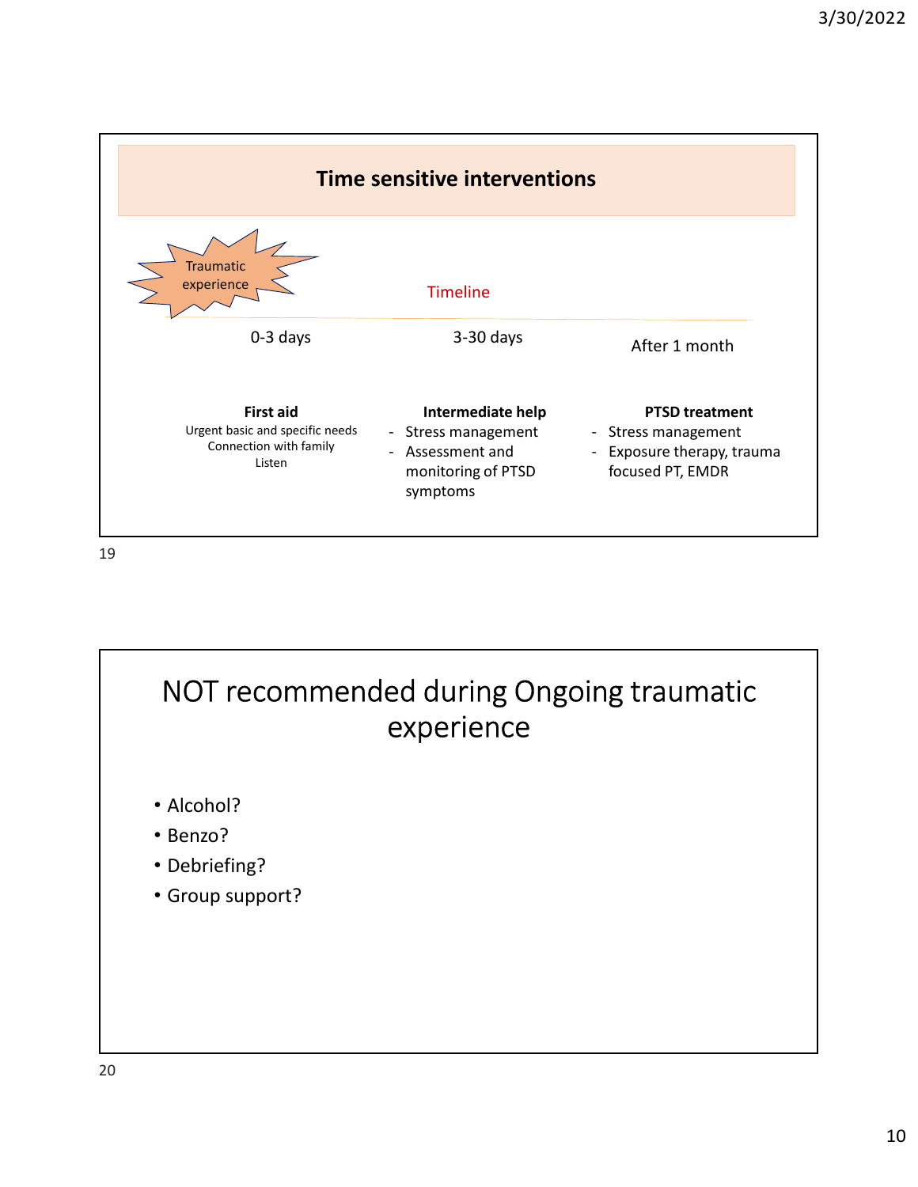

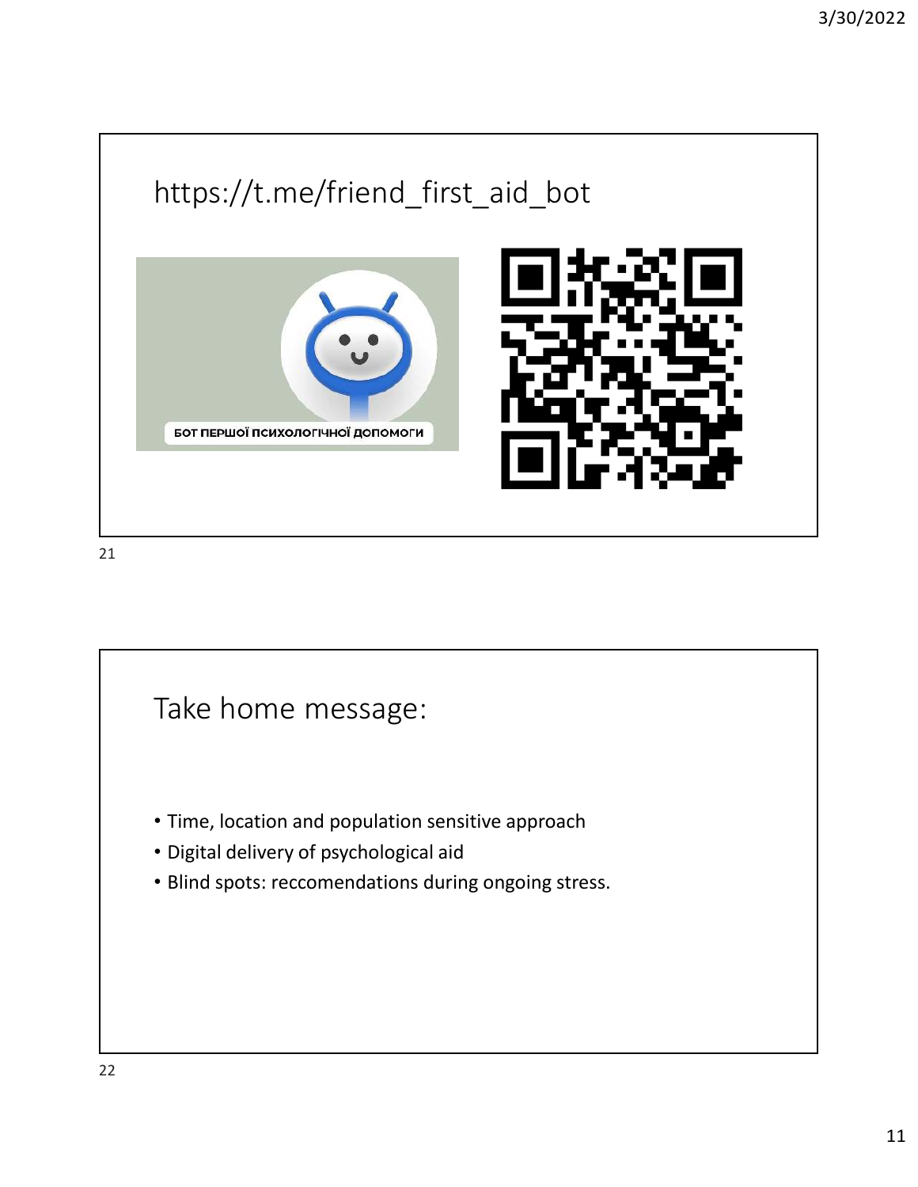